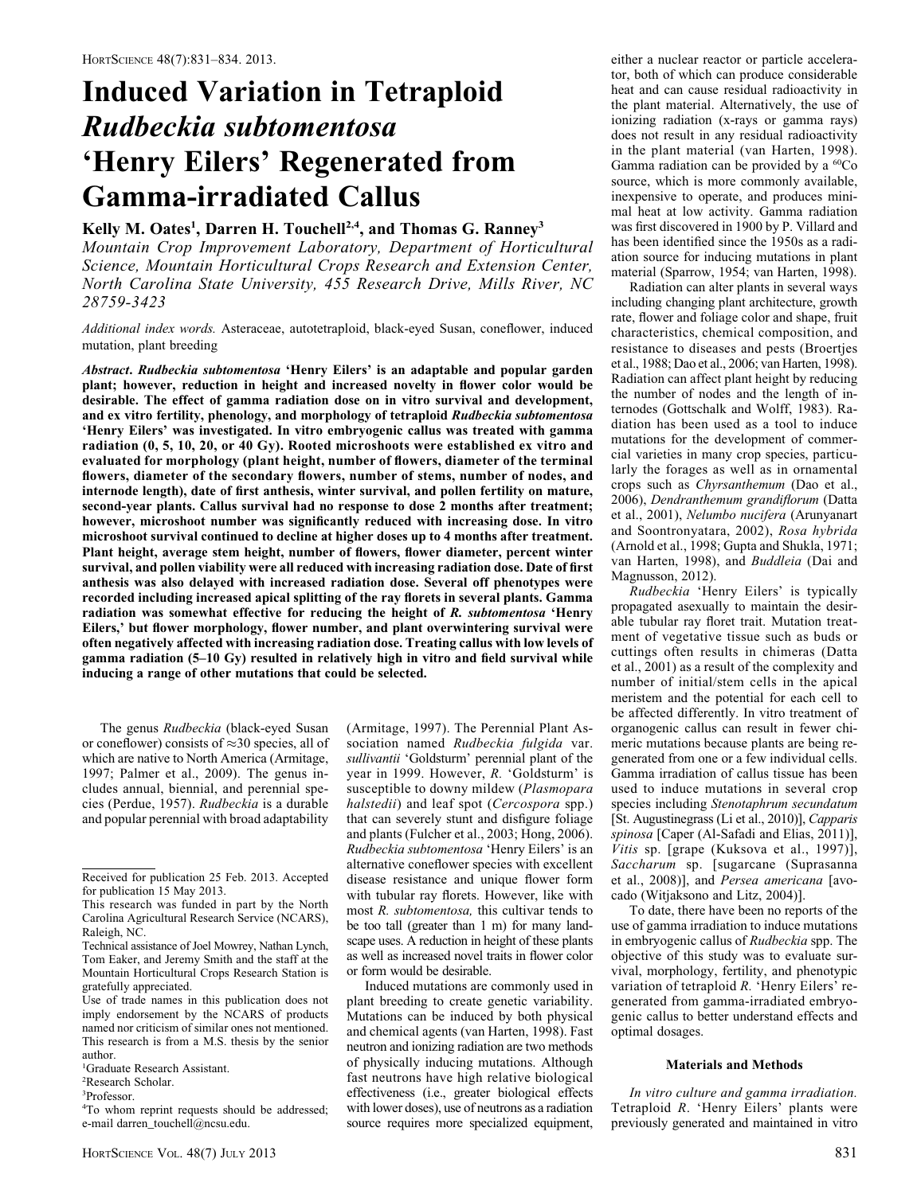# Induced Variation in Tetraploid Rudbeckia subtomentosa 'Henry Eilers' Regenerated from Gamma-irradiated Callus

## Kelly M. Oates<sup>1</sup>, Darren H. Touchell<sup>2,4</sup>, and Thomas G. Ranney<sup>3</sup>

Mountain Crop Improvement Laboratory, Department of Horticultural Science, Mountain Horticultural Crops Research and Extension Center, North Carolina State University, 455 Research Drive, Mills River, NC 28759-3423

Additional index words. Asteraceae, autotetraploid, black-eyed Susan, coneflower, induced mutation, plant breeding

Abstract. Rudbeckia subtomentosa 'Henry Eilers' is an adaptable and popular garden plant; however, reduction in height and increased novelty in flower color would be desirable. The effect of gamma radiation dose on in vitro survival and development, and ex vitro fertility, phenology, and morphology of tetraploid Rudbeckia subtomentosa 'Henry Eilers' was investigated. In vitro embryogenic callus was treated with gamma radiation (0, 5, 10, 20, or 40 Gy). Rooted microshoots were established ex vitro and evaluated for morphology (plant height, number of flowers, diameter of the terminal flowers, diameter of the secondary flowers, number of stems, number of nodes, and internode length), date of first anthesis, winter survival, and pollen fertility on mature, second-year plants. Callus survival had no response to dose 2 months after treatment; however, microshoot number was significantly reduced with increasing dose. In vitro microshoot survival continued to decline at higher doses up to 4 months after treatment. Plant height, average stem height, number of flowers, flower diameter, percent winter survival, and pollen viability were all reduced with increasing radiation dose. Date of first anthesis was also delayed with increased radiation dose. Several off phenotypes were recorded including increased apical splitting of the ray florets in several plants. Gamma radiation was somewhat effective for reducing the height of R. subtomentosa 'Henry Eilers,' but flower morphology, flower number, and plant overwintering survival were often negatively affected with increasing radiation dose. Treating callus with low levels of gamma radiation (5–10 Gy) resulted in relatively high in vitro and field survival while inducing a range of other mutations that could be selected.

The genus Rudbeckia (black-eyed Susan or coneflower) consists of  $\approx$ 30 species, all of which are native to North America (Armitage, 1997; Palmer et al., 2009). The genus includes annual, biennial, and perennial species (Perdue, 1957). Rudbeckia is a durable and popular perennial with broad adaptability

(Armitage, 1997). The Perennial Plant Association named Rudbeckia fulgida var. sullivantii 'Goldsturm' perennial plant of the year in 1999. However, R. 'Goldsturm' is susceptible to downy mildew (Plasmopara halstedii) and leaf spot (Cercospora spp.) that can severely stunt and disfigure foliage and plants (Fulcher et al., 2003; Hong, 2006). Rudbeckia subtomentosa 'Henry Eilers' is an alternative coneflower species with excellent disease resistance and unique flower form with tubular ray florets. However, like with most R. subtomentosa, this cultivar tends to be too tall (greater than 1 m) for many landscape uses. A reduction in height of these plants as well as increased novel traits in flower color or form would be desirable.

Induced mutations are commonly used in plant breeding to create genetic variability. Mutations can be induced by both physical and chemical agents (van Harten, 1998). Fast neutron and ionizing radiation are two methods of physically inducing mutations. Although fast neutrons have high relative biological effectiveness (i.e., greater biological effects with lower doses), use of neutrons as a radiation source requires more specialized equipment,

either a nuclear reactor or particle accelerator, both of which can produce considerable heat and can cause residual radioactivity in the plant material. Alternatively, the use of ionizing radiation (x-rays or gamma rays) does not result in any residual radioactivity in the plant material (van Harten, 1998). Gamma radiation can be provided by a  ${}^{60}Co$ source, which is more commonly available, inexpensive to operate, and produces minimal heat at low activity. Gamma radiation was first discovered in 1900 by P. Villard and has been identified since the 1950s as a radiation source for inducing mutations in plant material (Sparrow, 1954; van Harten, 1998).

Radiation can alter plants in several ways including changing plant architecture, growth rate, flower and foliage color and shape, fruit characteristics, chemical composition, and resistance to diseases and pests (Broertjes et al., 1988; Dao et al., 2006; van Harten, 1998). Radiation can affect plant height by reducing the number of nodes and the length of internodes (Gottschalk and Wolff, 1983). Radiation has been used as a tool to induce mutations for the development of commercial varieties in many crop species, particularly the forages as well as in ornamental crops such as Chyrsanthemum (Dao et al., 2006), Dendranthemum grandiflorum (Datta et al., 2001), Nelumbo nucifera (Arunyanart and Soontronyatara, 2002), Rosa hybrida (Arnold et al., 1998; Gupta and Shukla, 1971; van Harten, 1998), and Buddleia (Dai and Magnusson, 2012).

Rudbeckia 'Henry Eilers' is typically propagated asexually to maintain the desirable tubular ray floret trait. Mutation treatment of vegetative tissue such as buds or cuttings often results in chimeras (Datta et al., 2001) as a result of the complexity and number of initial/stem cells in the apical meristem and the potential for each cell to be affected differently. In vitro treatment of organogenic callus can result in fewer chimeric mutations because plants are being regenerated from one or a few individual cells. Gamma irradiation of callus tissue has been used to induce mutations in several crop species including Stenotaphrum secundatum [St. Augustinegrass (Li et al., 2010)], Capparis spinosa [Caper (Al-Safadi and Elias, 2011)], Vitis sp. [grape (Kuksova et al., 1997)], Saccharum sp. [sugarcane (Suprasanna et al., 2008)], and Persea americana [avocado (Witjaksono and Litz, 2004)].

To date, there have been no reports of the use of gamma irradiation to induce mutations in embryogenic callus of Rudbeckia spp. The objective of this study was to evaluate survival, morphology, fertility, and phenotypic variation of tetraploid R. 'Henry Eilers' regenerated from gamma-irradiated embryogenic callus to better understand effects and optimal dosages.

### Materials and Methods

In vitro culture and gamma irradiation. Tetraploid R. 'Henry Eilers' plants were previously generated and maintained in vitro

Received for publication 25 Feb. 2013. Accepted for publication 15 May 2013.

This research was funded in part by the North Carolina Agricultural Research Service (NCARS), Raleigh, NC.

Technical assistance of Joel Mowrey, Nathan Lynch, Tom Eaker, and Jeremy Smith and the staff at the Mountain Horticultural Crops Research Station is gratefully appreciated.

Use of trade names in this publication does not imply endorsement by the NCARS of products named nor criticism of similar ones not mentioned. This research is from a M.S. thesis by the senior author.

<sup>1</sup> Graduate Research Assistant.

<sup>2</sup> Research Scholar.

<sup>3</sup> Professor.

<sup>4</sup> To whom reprint requests should be addressed; e-mail darren\_touchell@ncsu.edu.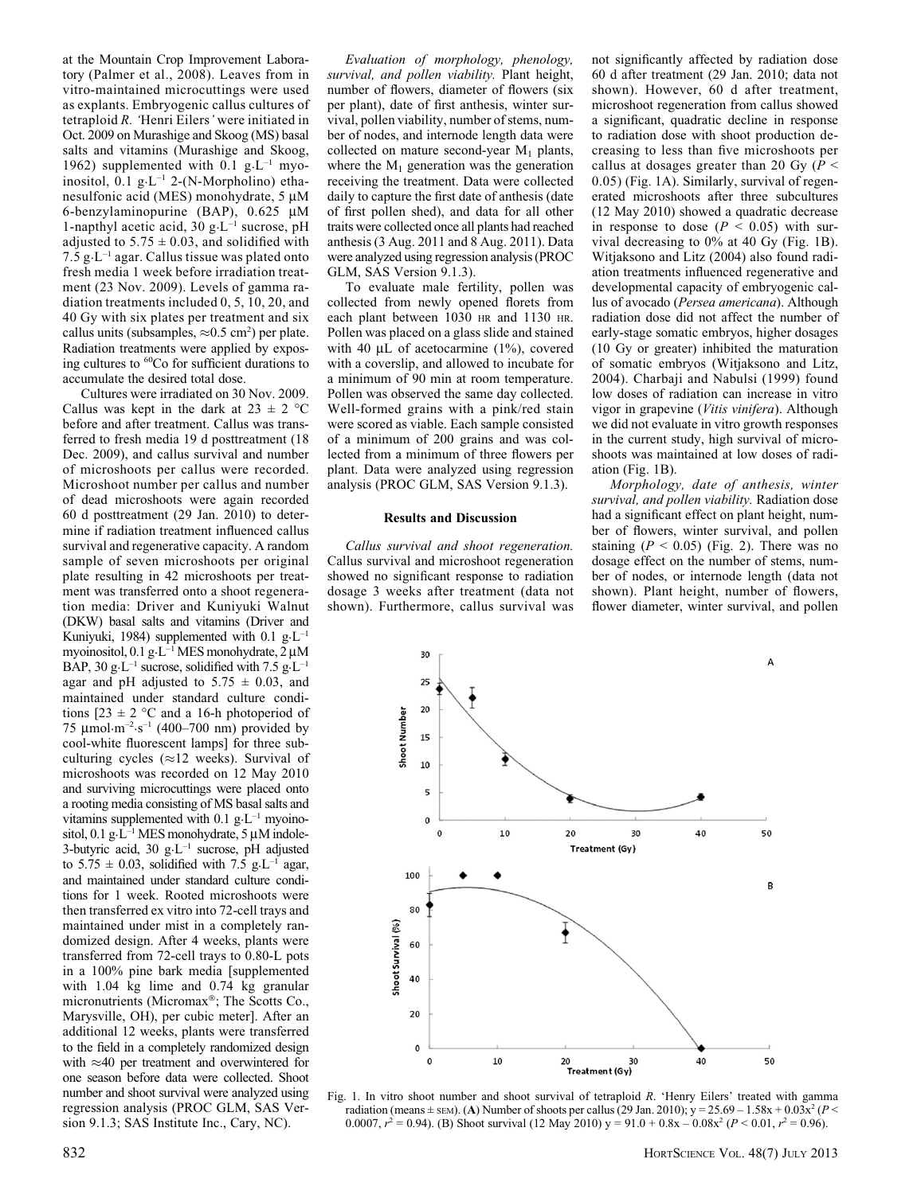at the Mountain Crop Improvement Laboratory (Palmer et al., 2008). Leaves from in vitro-maintained microcuttings were used as explants. Embryogenic callus cultures of tetraploid R. 'Henri Eilers' were initiated in Oct. 2009 on Murashige and Skoog (MS) basal salts and vitamins (Murashige and Skoog, 1962) supplemented with 0.1  $g \text{·}L^{-1}$  myoinositol,  $0.1$  g·L<sup>-1</sup> 2-(N-Morpholino) ethanesulfonic acid (MES) monohydrate, 5 µM 6-benzylaminopurine (BAP),  $0.625 \mu M$ 1-napthyl acetic acid, 30 g $\mathrm{L}^{-1}$  sucrose, pH adjusted to  $5.75 \pm 0.03$ , and solidified with 7.5  $g \cdot L^{-1}$  agar. Callus tissue was plated onto fresh media 1 week before irradiation treatment (23 Nov. 2009). Levels of gamma radiation treatments included 0, 5, 10, 20, and 40 Gy with six plates per treatment and six callus units (subsamples,  $\approx 0.5$  cm<sup>2</sup>) per plate. Radiation treatments were applied by exposing cultures to 60Co for sufficient durations to accumulate the desired total dose.

Cultures were irradiated on 30 Nov. 2009. Callus was kept in the dark at  $23 \pm 2$  °C before and after treatment. Callus was transferred to fresh media 19 d posttreatment (18 Dec. 2009), and callus survival and number of microshoots per callus were recorded. Microshoot number per callus and number of dead microshoots were again recorded 60 d posttreatment (29 Jan. 2010) to determine if radiation treatment influenced callus survival and regenerative capacity. A random sample of seven microshoots per original plate resulting in 42 microshoots per treatment was transferred onto a shoot regeneration media: Driver and Kuniyuki Walnut (DKW) basal salts and vitamins (Driver and Kuniyuki, 1984) supplemented with 0.1  $g \text{·} L^{-1}$ myoinositol,  $0.1$  g $\text{L}^{-1}$  MES monohydrate,  $2 \mu M$ BAP, 30 g·L<sup>-1</sup> sucrose, solidified with 7.5 g·L<sup>-1</sup> agar and pH adjusted to  $5.75 \pm 0.03$ , and maintained under standard culture conditions  $[23 \pm 2$  °C and a 16-h photoperiod of 75  $\mu$ mol·m<sup>-2</sup>·s<sup>-1</sup> (400–700 nm) provided by cool-white fluorescent lamps] for three subculturing cycles ( $\approx$ 12 weeks). Survival of microshoots was recorded on 12 May 2010 and surviving microcuttings were placed onto a rooting media consisting of MS basal salts and vitamins supplemented with  $0.1$  g $\cdot$ L<sup>-1</sup> myoinositol, 0.1 g· $L^{-1}$  MES monohydrate, 5  $\mu$ M indole-3-butyric acid, 30 g·L–1 sucrose, pH adjusted to 5.75  $\pm$  0.03, solidified with 7.5 g·L<sup>-1</sup> agar, and maintained under standard culture conditions for 1 week. Rooted microshoots were then transferred ex vitro into 72-cell trays and maintained under mist in a completely randomized design. After 4 weeks, plants were transferred from 72-cell trays to 0.80-L pots in a 100% pine bark media [supplemented with 1.04 kg lime and 0.74 kg granular micronutrients (Micromax<sup>®</sup>; The Scotts Co., Marysville, OH), per cubic meter]. After an additional 12 weeks, plants were transferred to the field in a completely randomized design with  $\approx$ 40 per treatment and overwintered for one season before data were collected. Shoot number and shoot survival were analyzed using regression analysis (PROC GLM, SAS Version 9.1.3; SAS Institute Inc., Cary, NC).

Evaluation of morphology, phenology, survival, and pollen viability. Plant height, number of flowers, diameter of flowers (six per plant), date of first anthesis, winter survival, pollen viability, number of stems, number of nodes, and internode length data were collected on mature second-year  $M_1$  plants, where the  $M_1$  generation was the generation receiving the treatment. Data were collected daily to capture the first date of anthesis (date of first pollen shed), and data for all other traits were collected once all plants had reached anthesis (3 Aug. 2011 and 8 Aug. 2011). Data were analyzed using regression analysis (PROC GLM, SAS Version 9.1.3).

To evaluate male fertility, pollen was collected from newly opened florets from each plant between 1030 HR and 1130 HR. Pollen was placed on a glass slide and stained with 40  $\mu$ L of acetocarmine (1%), covered with a coverslip, and allowed to incubate for a minimum of 90 min at room temperature. Pollen was observed the same day collected. Well-formed grains with a pink/red stain were scored as viable. Each sample consisted of a minimum of 200 grains and was collected from a minimum of three flowers per plant. Data were analyzed using regression analysis (PROC GLM, SAS Version 9.1.3).

#### Results and Discussion

Callus survival and shoot regeneration. Callus survival and microshoot regeneration showed no significant response to radiation dosage 3 weeks after treatment (data not shown). Furthermore, callus survival was not significantly affected by radiation dose 60 d after treatment (29 Jan. 2010; data not shown). However, 60 d after treatment, microshoot regeneration from callus showed a significant, quadratic decline in response to radiation dose with shoot production decreasing to less than five microshoots per callus at dosages greater than 20 Gy  $(P <$ 0.05) (Fig. 1A). Similarly, survival of regenerated microshoots after three subcultures (12 May 2010) showed a quadratic decrease in response to dose  $(P < 0.05)$  with survival decreasing to 0% at 40 Gy (Fig. 1B). Witjaksono and Litz (2004) also found radiation treatments influenced regenerative and developmental capacity of embryogenic callus of avocado (Persea americana). Although radiation dose did not affect the number of early-stage somatic embryos, higher dosages (10 Gy or greater) inhibited the maturation of somatic embryos (Witjaksono and Litz, 2004). Charbaii and Nabulsi (1999) found low doses of radiation can increase in vitro vigor in grapevine (Vitis vinifera). Although we did not evaluate in vitro growth responses in the current study, high survival of microshoots was maintained at low doses of radiation (Fig. 1B).

Morphology, date of anthesis, winter survival, and pollen viability. Radiation dose had a significant effect on plant height, number of flowers, winter survival, and pollen staining ( $P < 0.05$ ) (Fig. 2). There was no dosage effect on the number of stems, number of nodes, or internode length (data not shown). Plant height, number of flowers, flower diameter, winter survival, and pollen



Fig. 1. In vitro shoot number and shoot survival of tetraploid R. 'Henry Eilers' treated with gamma radiation (means  $\pm$  SEM). (A) Number of shoots per callus (29 Jan. 2010); y = 25.69 – 1.58x + 0.03x<sup>2</sup> (P < 0.0007,  $r^2 = 0.94$ ). (B) Shoot survival (12 May 2010)  $y = 91.0 + 0.8x - 0.08x^2$  ( $P < 0.01$ ,  $r^2 = 0.96$ ).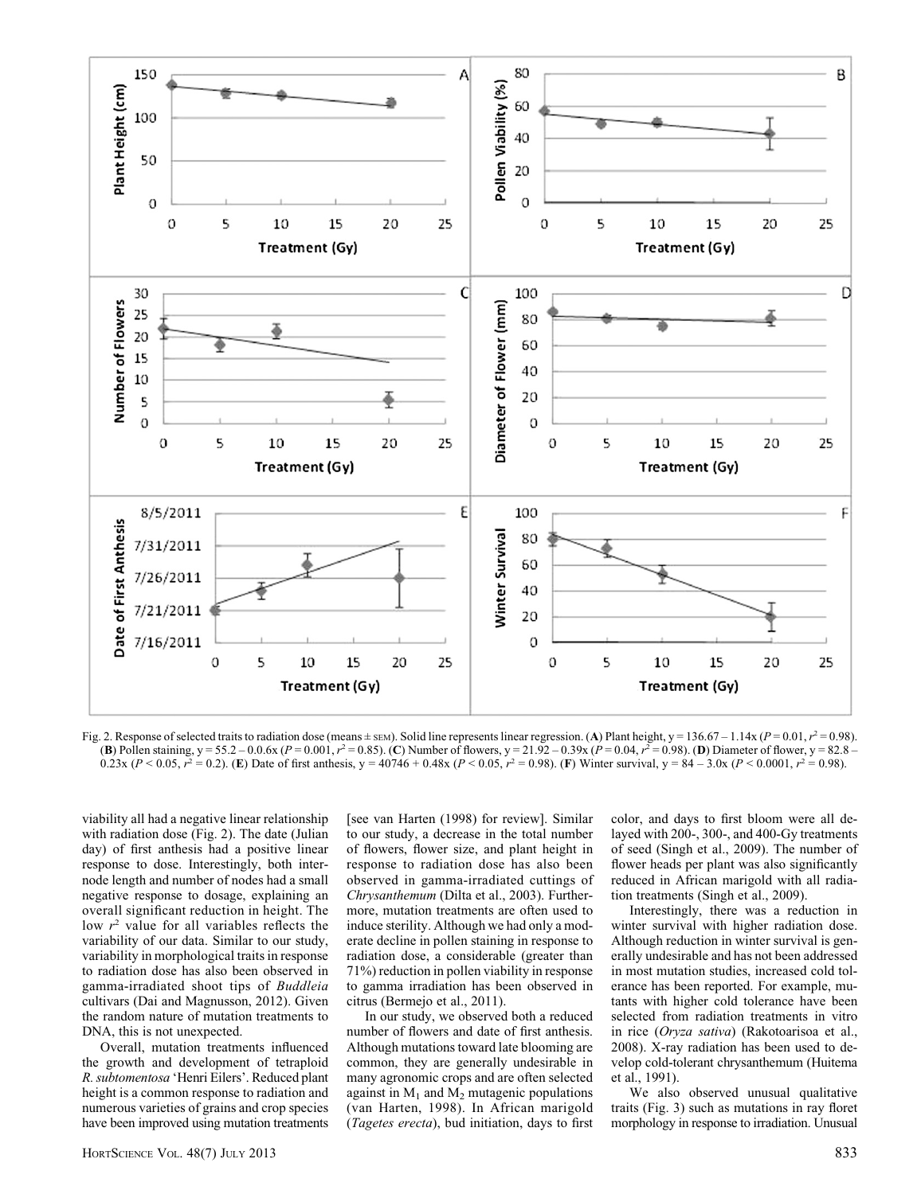

Fig. 2. Response of selected traits to radiation dose (means  $\pm$  sem). Solid line represents linear regression. (A) Plant height, y = 136.67 – 1.14x (P = 0.01,  $r^2$  = 0.98). (B) Pollen staining, y = 55.2 – 0.0.6x (P = 0.001,  $r^2 = 0.85$ ). (C) Number of flowers, y = 21.92 – 0.39x (P = 0.04,  $r^2 = 0.98$ ). (D) Diameter of flower, y = 82.8 – 0.23x (P < 0.05,  $r^2 = 0.2$ ). (E) Date of first anthesis, y = 40746 + 0.48x (P < 0.05,  $r^2 = 0.98$ ). (F) Winter survival, y = 84 – 3.0x (P < 0.0001,  $r^2 = 0.98$ ).

viability all had a negative linear relationship with radiation dose (Fig. 2). The date (Julian day) of first anthesis had a positive linear response to dose. Interestingly, both internode length and number of nodes had a small negative response to dosage, explaining an overall significant reduction in height. The low  $r^2$  value for all variables reflects the variability of our data. Similar to our study, variability in morphological traits in response to radiation dose has also been observed in gamma-irradiated shoot tips of Buddleia cultivars (Dai and Magnusson, 2012). Given the random nature of mutation treatments to DNA, this is not unexpected.

Overall, mutation treatments influenced the growth and development of tetraploid R. subtomentosa 'Henri Eilers'. Reduced plant height is a common response to radiation and numerous varieties of grains and crop species have been improved using mutation treatments

[see van Harten (1998) for review]. Similar to our study, a decrease in the total number of flowers, flower size, and plant height in response to radiation dose has also been observed in gamma-irradiated cuttings of Chrysanthemum (Dilta et al., 2003). Furthermore, mutation treatments are often used to induce sterility. Although we had only a moderate decline in pollen staining in response to radiation dose, a considerable (greater than 71%) reduction in pollen viability in response to gamma irradiation has been observed in citrus (Bermejo et al., 2011).

In our study, we observed both a reduced number of flowers and date of first anthesis. Although mutations toward late blooming are common, they are generally undesirable in many agronomic crops and are often selected against in  $M_1$  and  $M_2$  mutagenic populations (van Harten, 1998). In African marigold (Tagetes erecta), bud initiation, days to first color, and days to first bloom were all delayed with 200-, 300-, and 400-Gy treatments of seed (Singh et al., 2009). The number of flower heads per plant was also significantly reduced in African marigold with all radiation treatments (Singh et al., 2009).

Interestingly, there was a reduction in winter survival with higher radiation dose. Although reduction in winter survival is generally undesirable and has not been addressed in most mutation studies, increased cold tolerance has been reported. For example, mutants with higher cold tolerance have been selected from radiation treatments in vitro in rice (Oryza sativa) (Rakotoarisoa et al., 2008). X-ray radiation has been used to develop cold-tolerant chrysanthemum (Huitema et al., 1991).

We also observed unusual qualitative traits (Fig. 3) such as mutations in ray floret morphology in response to irradiation. Unusual